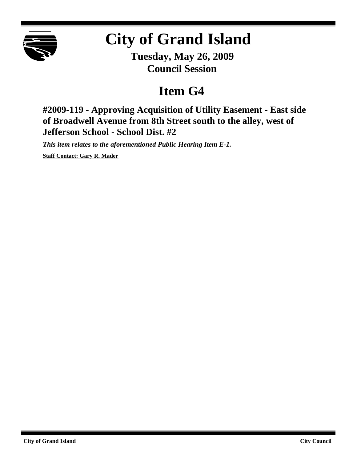

## **City of Grand Island**

**Tuesday, May 26, 2009 Council Session**

## **Item G4**

**#2009-119 - Approving Acquisition of Utility Easement - East side of Broadwell Avenue from 8th Street south to the alley, west of Jefferson School - School Dist. #2**

*This item relates to the aforementioned Public Hearing Item E-1.*

**Staff Contact: Gary R. Mader**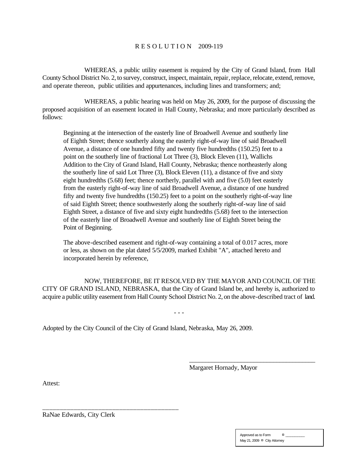## R E S O L U T I O N 2009-119

WHEREAS, a public utility easement is required by the City of Grand Island, from Hall County School District No. 2, to survey, construct, inspect, maintain, repair, replace, relocate, extend, remove, and operate thereon, public utilities and appurtenances, including lines and transformers; and;

WHEREAS, a public hearing was held on May 26, 2009, for the purpose of discussing the proposed acquisition of an easement located in Hall County, Nebraska; and more particularly described as follows:

Beginning at the intersection of the easterly line of Broadwell Avenue and southerly line of Eighth Street; thence southerly along the easterly right-of-way line of said Broadwell Avenue, a distance of one hundred fifty and twenty five hundredths (150.25) feet to a point on the southerly line of fractional Lot Three (3), Block Eleven (11), Wallichs Addition to the City of Grand Island, Hall County, Nebraska; thence northeasterly along the southerly line of said Lot Three (3), Block Eleven (11), a distance of five and sixty eight hundredths (5.68) feet; thence northerly, parallel with and five (5.0) feet easterly from the easterly right-of-way line of said Broadwell Avenue, a distance of one hundred fifty and twenty five hundredths (150.25) feet to a point on the southerly right-of-way line of said Eighth Street; thence southwesterly along the southerly right-of-way line of said Eighth Street, a distance of five and sixty eight hundredths (5.68) feet to the intersection of the easterly line of Broadwell Avenue and southerly line of Eighth Street being the Point of Beginning.

The above-described easement and right-of-way containing a total of 0.017 acres, more or less, as shown on the plat dated 5/5/2009, marked Exhibit "A", attached hereto and incorporated herein by reference,

NOW, THEREFORE, BE IT RESOLVED BY THE MAYOR AND COUNCIL OF THE CITY OF GRAND ISLAND, NEBRASKA, that the City of Grand Island be, and hereby is, authorized to acquire a public utility easement from Hall County School District No. 2, on the above-described tract of land.

- - -

Adopted by the City Council of the City of Grand Island, Nebraska, May 26, 2009.

Margaret Hornady, Mayor

\_\_\_\_\_\_\_\_\_\_\_\_\_\_\_\_\_\_\_\_\_\_\_\_\_\_\_\_\_\_\_\_\_\_\_\_\_\_\_

Attest:

RaNae Edwards, City Clerk

\_\_\_\_\_\_\_\_\_\_\_\_\_\_\_\_\_\_\_\_\_\_\_\_\_\_\_\_\_\_\_\_\_\_\_\_\_\_\_

| Approved as to Form          | ¤ |  |
|------------------------------|---|--|
| May 21, 2009 ¤ City Attorney |   |  |